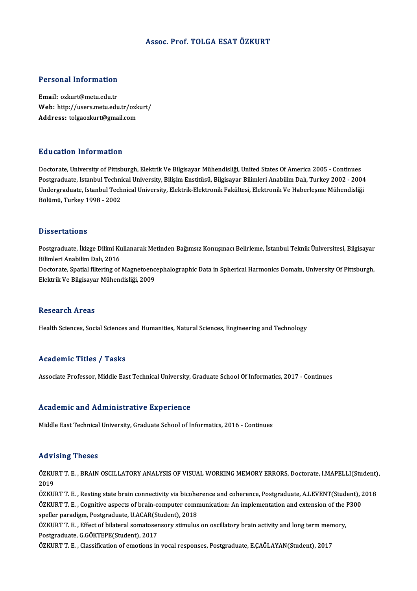### Assoc. Prof. TOLGA ESATÖZKURT

### Personal Information

Email: ozkurt@metu.edu.tr r eroonar meeren<br>Email: ozkurt@metu.edu.tr<br>Web: http://users.metu.edu.tr/ozkurt/<br>Address. telsesskurt@smeil.com Email: ozkurt@metu.edu.tr<br>Web: http://users.metu.edu.tr/ozk<br>Address: tolgaozkurt@gmail.com Address: tolgaozkurt@gmail.com<br>Education Information

Doctorate, University of Pittsburgh, Elektrik Ve Bilgisayar Mühendisliği, United States Of America 2005 - Continues Pu u sustsyn "Milot Musson"<br>Doctorate, University of Pittsburgh, Elektrik Ve Bilgisayar Mühendisliği, United States Of America 2005 - Continues<br>Postgraduate, Istanbul Technical University, Bilişim Enstitüsü, Bilgisayar Bil Doctorate, University of Pittsburgh, Elektrik Ve Bilgisayar Mühendisliği, United States Of America 2005 - Continues<br>Postgraduate, Istanbul Technical University, Bilişim Enstitüsü, Bilgisayar Bilimleri Anabilim Dalı, Turkey Postgraduate, Istanbul Techni<br>Undergraduate, Istanbul Tech<br>Bölümü, Turkey 1998 - 2002 Bölümü, Turkey 1998 - 2002<br>Dissertations

Dissertations<br>Postgraduate, İkizge Dilimi Kullanarak Metinden Bağımsız Konuşmacı Belirleme, İstanbul Teknik Üniversitesi, Bilgisayar<br>Bilimleri Anabilim Dalı 2016 Bilimleri<br>Postgraduate, İkizge Dilimi Ku<br>Bilimleri Anabilim Dalı, 2016<br>Postarata Spatial filtering of Postgraduate, İkizge Dilimi Kullanarak Metinden Bağımsız Konuşmacı Belirleme, İstanbul Teknik Üniversitesi, Bilgisayar<br>Bilimleri Anabilim Dalı, 2016<br>Doctorate, Spatial filtering of Magnetoencephalographic Data in Spherical Bilimleri Anabilim Dalı, 2016<br>Doctorate, Spatial filtering of Magnetoencephalographic Data in Spherical Harmonics Domain, University Of Pittsburgh,<br>Elektrik Ve Bilgisayar Mühendisliği, 2009

### **Research Areas**

Health Sciences, Social Sciences and Humanities, Natural Sciences, Engineering and Technology

### Academic Titles / Tasks

Associate Professor, Middle East Technical University, Graduate School Of Informatics, 2017 - Continues

### Academic and Administrative Experience

Middle East Technical University, Graduate School of Informatics, 2016 - Continues

### Advising Theses

Advising Theses<br>ÖZKURT T. E. , BRAIN OSCILLATORY ANALYSIS OF VISUAL WORKING MEMORY ERRORS, Doctorate, I.MAPELLI(Student),<br>2019 ---<br>ÖZKUI<br>2019<br>ÖZKUI ÖZKURT T. E. , BRAIN OSCILLATORY ANALYSIS OF VISUAL WORKING MEMORY ERRORS, Doctorate, I.MAPELLI(Student)<br>2019<br>ÖZKURT T. E. , Resting state brain connectivity via bicoherence and coherence, Postgraduate, A.LEVENT(Student),

2019<br>ÖZKURT T. E. , Resting state brain connectivity via bicoherence and coherence, Postgraduate, A.LEVENT(Student), 2<br>ÖZKURT T. E. , Cognitive aspects of brain-computer communication: An implementation and extension of th ÖZKURT T. E. , Resting state brain connectivity via bicohe<br>ÖZKURT T. E. , Cognitive aspects of brain-computer comn<br>speller paradigm, Postgraduate, U.ACAR(Student), 2018<br>ÖZKURT T. E. , Effect of bilateral somatosonsony stim ÖZKURT T. E. , Cognitive aspects of brain-computer communication: An implementation and extension of the l<br>speller paradigm, Postgraduate, U.ACAR(Student), 2018<br>ÖZKURT T. E. , Effect of bilateral somatosensory stimulus on

speller paradigm, Postgraduate, U.ACAR(St<br>ÖZKURT T. E. , Effect of bilateral somatoser<br>Postgraduate, G.GÖKTEPE(Student), 2017<br>ÖZKUPT T. E., Classifisation of emotions in ÖZKURT T. E. , Effect of bilateral somatosensory stimulus on oscillatory brain activity and long term mer<br>Postgraduate, G.GÖKTEPE(Student), 2017<br>ÖZKURT T. E. , Classification of emotions in vocal responses, Postgraduate, E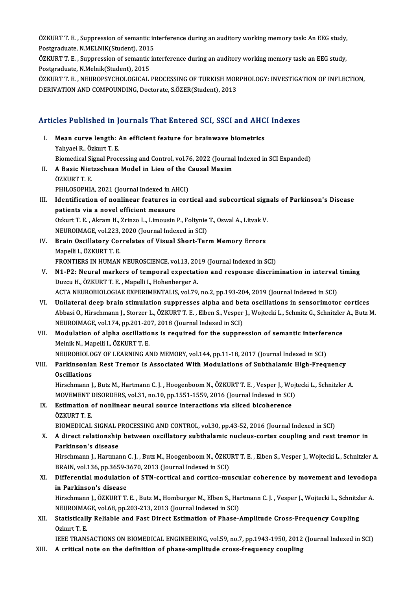ÖZKURT T. E. , Suppression of semantic interference during an auditory working memory task: An EEG study,<br>Pestsraduate N.MELNIK(Student), 2015 ÖZKURT T. E. , Suppression of semantic in<br>Postgraduate, N.MELNIK(Student), 2015<br>ÖZKUPT T. E., Suppression of semantic in ÖZKURT T. E. , Suppression of semantic interference during an auditory working memory task: An EEG study,<br>Postgraduate, N.MELNIK(Student), 2015<br>ÖZKURT T. E. , Suppression of semantic interference during an auditory working

Postgraduate, N.MELNIK(Student), 2015<br>ÖZKURT T. E. , Suppression of semantic interference during an auditory working memory task: an EEG study,<br>Postgraduate, N.Melnik(Student), 2015 ÖZKURT T. E. , Suppression of semantic interference during an auditory working memory task: an EEG study,<br>Postgraduate, N.Melnik(Student), 2015<br>ÖZKURT T. E. , NEUROPSYCHOLOGICAL PROCESSING OF TURKISH MORPHOLOGY: INVESTIGAT

Postgraduate, N.Melnik(Student), 2015<br>ÖZKURT T. E. , NEUROPSYCHOLOGICAL PROCESSING OF TURKISH MOR<br>DERIVATION AND COMPOUNDING, Doctorate, S.ÖZER(Student), 2013

# DERIVATION AND COMPOONDING, DOCtOrate, S.OZER(Student), 2013<br>Articles Published in Journals That Entered SCI, SSCI and AHCI Indexes

- rticles Published in Journals That Entered SCI, SSCI and AHC<br>I. Mean curve length: An efficient feature for brainwave biometrics<br>Vehyaci B. Özkurt T. E I. Mean curve length: An efficient feature for brainwave biometrics<br>Yahyaei R., Özkurt T. E. Mean curve length: An efficient feature for brainwave biometrics<br>Yahyaei R., Özkurt T. E.<br>Biomedical Signal Processing and Control, vol.76, 2022 (Journal Indexed in SCI Expanded)<br>A Bosis Nistrecheen Model in Lieu of the Co Yahyaei R., Özkurt T. E.<br>Biomedical Signal Processing and Control, vol.76, 2022 (Journal<br>II. A Basic Nietzschean Model in Lieu of the Causal Maxim<br>ÖZKUPT T. E Biomedical Si<br>**A Basic Niet<br>ÖZKURT T. E.**<br>PHU OSOPHI II. A Basic Nietzschean Model in Lieu of the Causal Maxim<br>ÖZKURT T. E.<br>PHILOSOPHIA, 2021 (Journal Indexed in AHCI) ÖZKURT T. E.<br>PHILOSOPHIA, 2021 (Journal Indexed in AHCI)<br>III. Identification of nonlinear features in cortical and subcortical signals of Parkinson's Disease<br>nationta via a novel officient measure PHILOSOPHIA, 2021 (Journal Indexed in Al<br>Identification of nonlinear features in<br>patients via a novel efficient measure Identification of nonlinear features in cortical and subcortical sign<br>patients via a novel efficient measure<br>Ozkurt T. E. , Akram H., Zrinzo L., Limousin P., Foltynie T., Oswal A., Litvak V.<br>NEUDOIMACE vol 222, 2020 (Journ patients via a novel efficient measure<br>Ozkurt T. E. , Akram H., Zrinzo L., Limousin P., Foltynie<br>NEUROIMAGE, vol.223, 2020 (Journal Indexed in SCI)<br>Prain Oscillatory Correlates of Vieual Short Tor
- Ozkurt T. E. , Akram H., Zrinzo L., Limousin P., Foltynie T., Oswal A., Litvak V.<br>NEUROIMAGE, vol.223, 2020 (Journal Indexed in SCI)<br>IV. Brain Oscillatory Correlates of Visual Short-Term Memory Errors<br>Mapelli I., ÖZKURT T. NEUROIMAGE, vol.223,<br>Brain Oscillatory Cor<br>Mapelli I., ÖZKURT T. E.<br>EPONTIERS IN HUMAN FRONTIERS IN HUMAN NEUROSCIENCE, vol.13, 2019 (Journal Indexed in SCI)
- Mapelli I., ÖZKURT T. E.<br>FRONTIERS IN HUMAN NEUROSCIENCE, vol.13, 2019 (Journal Indexed in SCI)<br>V. N1-P2: Neural markers of temporal expectation and response discrimination in interval timing<br>Duggy H. ÖZKUPT T. E. Mape FRONTIERS IN HUMAN NEUROSCIENCE, vol.13, 20<br>**N1-P2: Neural markers of temporal expectat**<br>Duzcu H., ÖZKURT T. E. , Mapelli I., Hohenberger A.<br>ACTA NEUROPIOLOCIAE EXPERIMENTALIS, vol.79 N1-P2: Neural markers of temporal expectation and response discrimination in interval<br>Duzcu H., ÖZKURT T. E. , Mapelli I., Hohenberger A.<br>ACTA NEUROBIOLOGIAE EXPERIMENTALIS, vol.79, no.2, pp.193-204, 2019 (Journal Indexed Duzcu H., ÖZKURT T. E. , Mapelli I., Hohenberger A.<br>ACTA NEUROBIOLOGIAE EXPERIMENTALIS, vol.79, no.2, pp.193-204, 2019 (Journal Indexed in SCI)<br>VI. Unilateral deep brain stimulation suppresses alpha and beta oscillations i
- ACTA NEUROBIOLOGIAE EXPERIMENTALIS, vol.79, no.2, pp.193-204, 2019 (Journal Indexed in SCI)<br>Unilateral deep brain stimulation suppresses alpha and beta oscillations in sensorimotor cortices<br>Abbasi O., Hirschmann J., Storze Unilateral deep brain stimulation suppresses alpha and bet<br>Abbasi O., Hirschmann J., Storzer L., ÖZKURT T. E. , Elben S., Vesper<br>NEUROIMAGE, vol.174, pp.201-207, 2018 (Journal Indexed in SCI)<br>Medulation of alpha ossillatio Abbasi O., Hirschmann J., Storzer L., ÖZKURT T. E. , Elben S., Vesper J., Wojtecki L., Schmitz G., Schnitzler<br>NEUROIMAGE, vol.174, pp.201-207, 2018 (Journal Indexed in SCI)<br>VII. Modulation of alpha oscillations is required
- NEUROIMAGE, vol.174, pp.201-20<br>Modulation of alpha oscillatio<br>Melnik N., Mapelli I., ÖZKURT T. E.<br>NEUPORIOLOCY OF LEARNING AL Modulation of alpha oscillations is required for the suppression of semantic interfer<br>Melnik N., Mapelli I., ÖZKURT T. E.<br>NEUROBIOLOGY OF LEARNING AND MEMORY, vol.144, pp.11-18, 2017 (Journal Indexed in SCI)<br>Perkinsonian P

NEUROBIOLOGY OF LEARNING AND MEMORY, vol.144, pp.11-18, 2017 (Journal Indexed in SCI)

# Melnik N., Mapelli I., ÖZKURT T. E.<br>NEUROBIOLOGY OF LEARNING AND MEMORY, vol.144, pp.11-18, 2017 (Journal Indexed in SCI)<br>VIII. Parkinsonian Rest Tremor Is Associated With Modulations of Subthalamic High-Frequency<br>Osci

Hirschmann J., Butz M., Hartmann C. J., Hoogenboom N., ÖZKURT T. E., Vesper J., Wojtecki L., Schnitzler A. Oscillations<br>Hirschmann J., Butz M., Hartmann C. J. , Hoogenboom N., ÖZKURT T. E. , Vesper J., Wojt<br>MOVEMENT DISORDERS, vol.31, no.10, pp.1551-1559, 2016 (Journal Indexed in SCI)<br>Estimation of nonlinear noural source inter Hirschmann J., Butz M., Hartmann C. J. , Hoogenboom N., ÖZKURT T. E. , Vesper J., Wo<br>MOVEMENT DISORDERS, vol.31, no.10, pp.1551-1559, 2016 (Journal Indexed in SCI)<br>IX. Estimation of nonlinear neural source interactions via

MOVEMENT I<br>Estimation<br>ÖZKURT T. E.<br>PIOMEDICAL Estimation of nonlinear neural source interactions via sliced bicoherence<br>ÖZKURT T. E.<br>BIOMEDICAL SIGNAL PROCESSING AND CONTROL, vol.30, pp.43-52, 2016 (Journal Indexed in SCI)<br>A direct relationship between essillatory sub

## ÖZKURT T. E.<br>BIOMEDICAL SIGNAL PROCESSING AND CONTROL, vol.30, pp.43-52, 2016 (Journal Indexed in SCI)<br>X. A direct relationship between oscillatory subthalamic nucleus-cortex coupling and rest tremor in<br>Parkinson's dise BIOMEDICAL SIGNAL F<br>A direct relationship<br>Parkinson's disease<br><sup>Hircch</sup>mann L Hartmal A direct relationship between oscillatory subthalamic nucleus-cortex coupling and rest tremor in<br>Parkinson's disease<br>Hirschmann J., Hartmann C. J. , Butz M., Hoogenboom N., ÖZKURT T. E. , Elben S., Vesper J., Wojtecki L.,

Parkinson's disease<br>Hirschmann J., Hartmann C. J. , Butz M., Hoogenboom N., ÖZKU<br>BRAIN, vol.136, pp.3659-3670, 2013 (Journal Indexed in SCI)<br>Differential modulation of STN, cortisel and cortise mu Hirschmann J., Hartmann C. J. , Butz M., Hoogenboom N., ÖZKURT T. E. , Elben S., Vesper J., Wojtecki L., Schnitzler A.<br>BRAIN, vol.136, pp.3659-3670, 2013 (Journal Indexed in SCI)<br>XI. Differential modulation of STN-cortical

## BRAIN, vol.136, pp.3659-3<br>Differential modulation<br>in Parkinson's disease<br><sup>Hincchmonn L. Ö</sub>7KUPT T</sup> Differential modulation of STN-cortical and cortico-muscular coherence by movement and levodop;<br>in Parkinson's disease<br>Hirschmann J., ÖZKURT T. E. , Butz M., Homburger M., Elben S., Hartmann C. J. , Vesper J., Wojtecki L.,

in Parkinson's disease<br>Hirschmann J., ÖZKURT T. E. , Butz M., Homburger M., Elben S., Hartmann C. J. , Vesper J., Wojtecki L., Schnitzler A.<br>NEUROIMAGE, vol.68, pp.203-213, 2013 (Journal Indexed in SCI) Hirschmann J., ÖZKURT T. E. , Butz M., Homburger M., Elben S., Hartmann C. J. , Vesper J., Wojtecki L., Schnitzl<br>NEUROIMAGE, vol.68, pp.203-213, 2013 (Journal Indexed in SCI)<br>XII. Statistically Reliable and Fast Direct Est

NEUROIMA<br>Statisticall<br>Ozkurt T. E.<br>JEEE TRANS

Ozkurt T. E.<br>IEEE TRANSACTIONS ON BIOMEDICAL ENGINEERING, vol.59, no.7, pp.1943-1950, 2012 (Journal Indexed in SCI)

XIII. A critical note on the definition of phase-amplitude cross-frequency coupling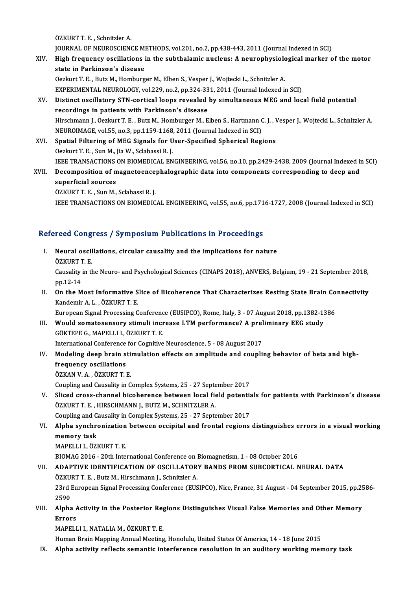ÖZKURTT.E., Schnitzler A.

ÖZKURT T. E. , Schnitzler A.<br>JOURNAL OF NEUROSCIENCE METHODS, vol.201, no.2, pp.438-443, 2011 (Journal Indexed in SCI)<br>High frequency equilistions in the subthalamic nucleus: A neuvenhysiological marker o

ÖZKURT T. E. , Schnitzler A.<br>JOURNAL OF NEUROSCIENCE METHODS, vol.201, no.2, pp.438-443, 2011 (Journal Indexed in SCI)<br>XIV. High frequency oscillations in the subthalamic nucleus: A neurophysiological marker of the mot JOURNAL OF NEUROSCIENCE MI<br>High frequency oscillations i<br>state in Parkinson's disease<br>Oscluut T. E., Butz M. Homburg High frequency oscillations in the subthalamic nucleus: A neurophysiolo<br>state in Parkinson's disease<br>Oezkurt T. E. , Butz M., Homburger M., Elben S., Vesper J., Wojtecki L., Schnitzler A.<br>EXPERIMENTAL NEUROLOCY, vol.229, n

state in Parkinson's disease<br>Oezkurt T. E. , Butz M., Homburger M., Elben S., Vesper J., Wojtecki L., Schnitzler A.<br>EXPERIMENTAL NEUROLOGY, vol.229, no.2, pp.324-331, 2011 (Journal Indexed in SCI) Oezkurt T. E. , Butz M., Homburger M., Elben S., Vesper J., Wojtecki L., Schnitzler A.<br>EXPERIMENTAL NEUROLOGY, vol.229, no.2, pp.324-331, 2011 (Journal Indexed in SCI)<br>XV. Distinct oscillatory STN-cortical loops revealed b

- EXPERIMENTAL NEUROLOGY, vol.229, no.2, pp.324-33<br>Distinct oscillatory STN-cortical loops revealed<br>recordings in patients with Parkinson's disease Distinct oscillatory STN-cortical loops revealed by simultaneous MEG and local field potential<br>recordings in patients with Parkinson's disease<br>Hirschmann J., Oezkurt T. E. , Butz M., Homburger M., Elben S., Hartmann C. J. recordings in patients with Parkinson's disease<br>Hirschmann J., Oezkurt T. E. , Butz M., Homburger M., Elben S., Hartmann (<br>NEUROIMAGE, vol.55, no.3, pp.1159-1168, 2011 (Journal Indexed in SCI)<br>Spatial Eiltering of MEC Sign Hirschmann J., Oezkurt T. E., Butz M., Homburger M., Elben S., Hartmann C. J., V<br>NEUROIMAGE, vol.55, no.3, pp.1159-1168, 2011 (Journal Indexed in SCI)<br>XVI. Spatial Filtering of MEG Signals for User-Specified Spherical Regi
- NEUROIMAGE, vol.55, no.3, pp.1159-1168, 2011 (Journal Indexed in SCI)<br>Spatial Filtering of MEG Signals for User-Specified Spherical Regions<br>Oezkurt T. E. , Sun M., Jia W., Sclabassi R. J. IEEE TRANSACTIONS ON BIOMEDICAL ENGINEERING, vol.56, no.10, pp.2429-2438, 2009 (Journal Indexed in SCI) Oezkurt T. E. , Sun M., Jia W., Sclabassi R. J.<br>IEEE TRANSACTIONS ON BIOMEDICAL ENGINEERING, vol.56, no.10, pp.2429-2438, 2009 (Journal Indexed in<br>XVII. Decomposition of magnetoencephalographic data into components corresp **IEEE TRANSACTIONS<br>Decomposition of m<br>superficial sources<br>ÖZKUPT T F - Sup M** Decomposition of magnetoence<br>superficial sources<br>ÖZKURT T. E. , Sun M., Sclabassi R. J.<br>JEEE TRANSACTIONS ON BIOMEDIC

superficial sources<br>ÖZKURT T. E. , Sun M., Sclabassi R. J.<br>IEEE TRANSACTIONS ON BIOMEDICAL ENGINEERING, vol.55, no.6, pp.1716-1727, 2008 (Journal Indexed in SCI)

# IEEE TRANSACTIONS ON BIOMEDICAL ENGINEERING, VOLSS, no.6, pp.171<br>Refereed Congress / Symposium Publications in Proceedings

- efereed Congress / Symposium Publications in Proceedings<br>I. Neural oscillations, circular causality and the implications for nature<br>ÖZKUPT F I. Neural oscillations, circular causality and the implications for nature ÖZKURT T. E. Neural oscillations, circular causality and the implications for nature<br>ÖZKURT T. E.<br>Causality in the Neuro- and Psychological Sciences (CINAPS 2018), ANVERS, Belgium, 19 - 21 September 2018,<br>nn 12 14 ÖZKURT 1<br>Causality<br>pp.12-14<br>On the M
- Causality in the Neuro- and Psychological Sciences (CINAPS 2018), ANVERS, Belgium, 19 21 September 2018,<br>pp.12-14<br>II. On the Most Informative Slice of Bicoherence That Characterizes Resting State Brain Connectivity<br>Kando pp.12-14<br>On the Most Informative S<br>Kandemir A. L. , ÖZKURT T. E.<br>European Signal Brassssing C On the Most Informative Slice of Bicoherence That Characterizes Resting State Brain Co<br>Kandemir A. L. , ÖZKURT T. E.<br>European Signal Processing Conference (EUSIPCO), Rome, Italy, 3 - 07 August 2018, pp.1382-1386<br>Would coma

Kandemir A. L. , ÖZKURT T. E.<br>I European Signal Processing Conference (EUSIPCO), Rome, Italy, 3 - 07 August 2018, pp.1382-13<br>III. Would somatosensory stimuli increase LTM performance? A preliminary EEG study European Signal Processing Conference<br>Would somatosensory stimuli incredictions<br>GÖKTEPE G., MAPELLI I., ÖZKURT T. E.<br>International Conference for Cognitive Would somatosensory stimuli increase LTM performance? A prel<br>GÖKTEPE G., MAPELLI I., ÖZKURT T. E.<br>International Conference for Cognitive Neuroscience, 5 - 08 August 2017<br>Modeling deen brain stimulation effects en amplitude

International Conference for Cognitive Neuroscience, 5 - 08 August 2017

GÖKTEPE G., MAPELLI I., ÖZKURT T. E.<br>International Conference for Cognitive Neuroscience, 5 - 08 August 2017<br>IV. Modeling deep brain stimulation effects on amplitude and coupling behavior of beta and high-<br>frequency oscill ÖZKANV.A. ,ÖZKURTT.E. frequency oscillations<br>ÖZKAN V. A. , ÖZKURT T. E.<br>Coupling and Causality in Complex Systems, 25 - 27 September 2017<br>Sliged grass shannal biseberanse between losal field petenti:

ÖZKAN V. A. , ÖZKURT T. E.<br>Coupling and Causality in Complex Systems, 25 - 27 September 2017<br>V. Sliced cross-channel bicoherence between local field potentials for patients with Parkinson's disease<br>ÖZKUPT T. E. HUBSCHMANN Coupling and Causality in Complex Systems, 25 - 27 Septe<br>Sliced cross-channel bicoherence between local field<br>ÖZKURT T. E. , HIRSCHMANN J., BUTZ M., SCHNITZLER A. Sliced cross-channel bicoherence between local field potentia<br>ÖZKURT T. E. , HIRSCHMANN J., BUTZ M., SCHNITZLER A.<br>Coupling and Causality in Complex Systems, 25 - 27 September 2017<br>Alpha synghronization between oscipital a ÖZKURT T. E. , HIRSCHMANN J., BUTZ M., SCHNITZLER A.<br>Coupling and Causality in Complex Systems, 25 - 27 September 2017<br>VI. Alpha synchronization between occipital and frontal regions distinguishes errors in a visual wo

- Coupling and C.<br>Alpha synchro<br>memory task<br>MARELLLLÖZI Alpha synchronization<br>memory task<br>MAPELLI I., ÖZKURT T. E.<br>PIOMAC 2016 - 20th Inte memory task<br>MAPELLI I., ÖZKURT T. E.<br>BIOMAG 2016 - 20th International Conference on Biomagnetism, 1 - 08 October 2016<br>ADAPTIVE IDENTIEICATION OF OSCU LATORY RANDS EROM SURCORTICAL N
	-

## MAPELLI I., ÖZKURT T. E.<br>BIOMAG 2016 - 20th International Conference on Biomagnetism, 1 - 08 October 2016<br>VII. ADAPTIVE IDENTIFICATION OF OSCILLATORY BANDS FROM SUBCORTICAL NEURAL DATA<br>ÖZKURT T. E. , Butz M., Hirschmann J. BIOMAG 2016 - 20th International Conference on <br>**ADAPTIVE IDENTIFICATION OF OSCILLATOR**<br>ÖZKURT T. E. , Butz M., Hirschmann J., Schnitzler A.<br><sup>22nd</sup> European Signal Brassesing Conference (EUS

ADAPTIVE IDENTIFICATION OF OSCILLATORY BANDS FROM SUBCORTICAL NEURAL DATA<br>ÖZKURT T. E. , Butz M., Hirschmann J., Schnitzler A.<br>23rd European Signal Processing Conference (EUSIPCO), Nice, France, 31 August - 04 September 20 ÖZKU<br>23rd I<br>2590<br>Alpha 23rd European Signal Processing Conference (EUSIPCO), Nice, France, 31 August - 04 September 2015, pp.25<br>2590<br>VIII. Alpha Activity in the Posterior Regions Distinguishes Visual False Memories and Other Memory

## 2590<br><mark>Alpha /</mark><br>Errors<br>MAPELL Alpha Activity in the Posterior Reg<br>Errors<br>MAPELLI I., NATALIA M., ÖZKURT T. E.<br>Human Brain Manning Annual Macting <mark>Errors</mark><br>MAPELLI I., NATALIA M., ÖZKURT T. E.<br>Human Brain Mapping Annual Meeting, Honolulu, United States Of America, 14 - 18 June 2015

IX. Alpha activity reflects semantic interference resolution in an auditory working memory task